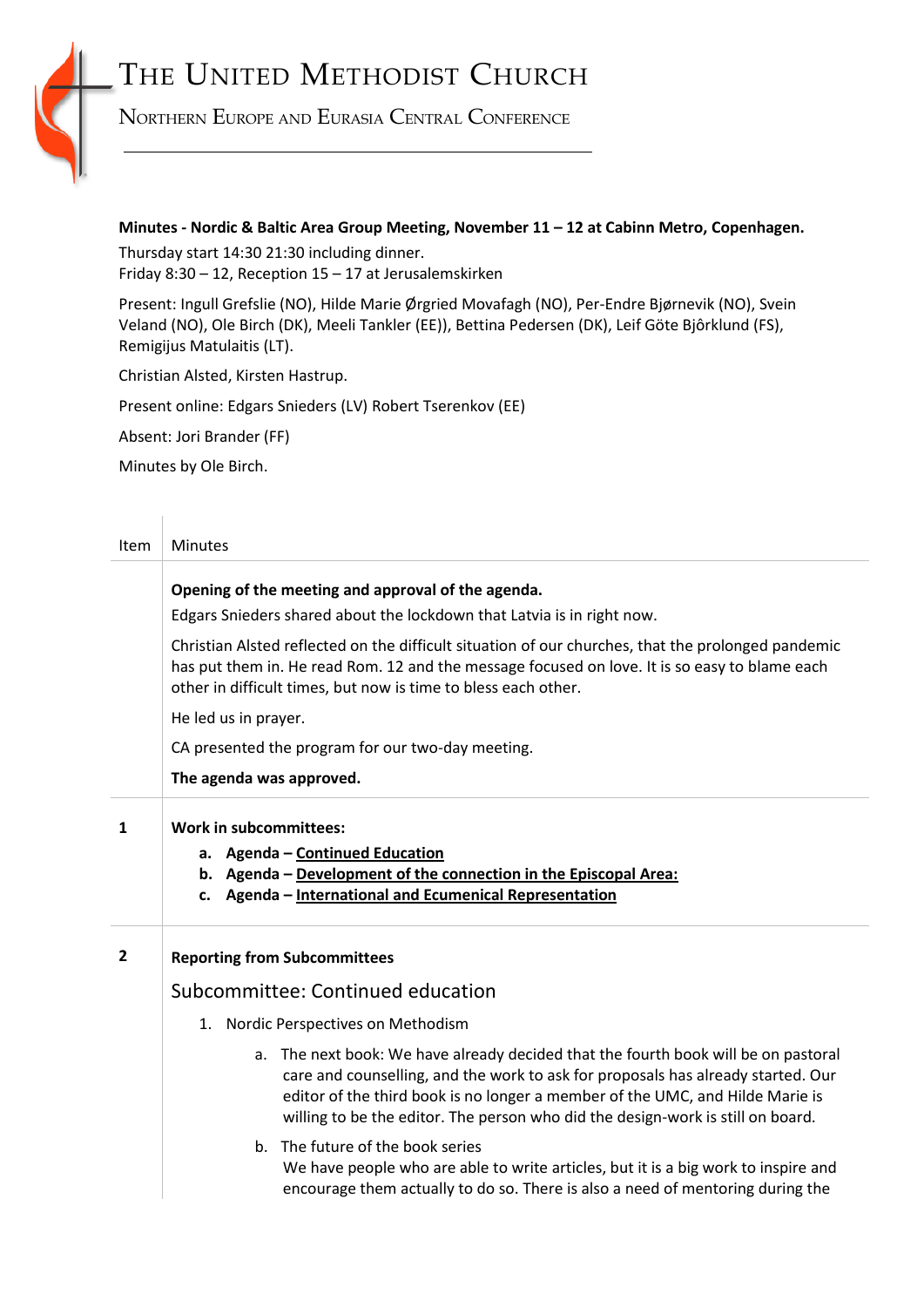# THE UNITED METHODIST CHURCH

NORTHERN EUROPE AND EURASIA CENTRAL CONFERENCE

## **Minutes - Nordic & Baltic Area Group Meeting, November 11 – 12 at Cabinn Metro, Copenhagen.**

Thursday start 14:30 21:30 including dinner. Friday 8:30 – 12, Reception 15 – 17 at Jerusalemskirken

Present: Ingull Grefslie (NO), Hilde Marie Ørgried Movafagh (NO), Per-Endre Bjørnevik (NO), Svein Veland (NO), Ole Birch (DK), Meeli Tankler (EE)), Bettina Pedersen (DK), Leif Göte Bjôrklund (FS), Remigijus Matulaitis (LT).

Christian Alsted, Kirsten Hastrup.

Present online: Edgars Snieders (LV) Robert Tserenkov (EE)

Absent: Jori Brander (FF)

Minutes by Ole Birch.

 $\begin{array}{c} \hline \end{array}$ 

| Item           | <b>Minutes</b><br>Opening of the meeting and approval of the agenda.<br>Edgars Snieders shared about the lockdown that Latvia is in right now.                                                                                                                                                                                             |  |  |  |
|----------------|--------------------------------------------------------------------------------------------------------------------------------------------------------------------------------------------------------------------------------------------------------------------------------------------------------------------------------------------|--|--|--|
|                |                                                                                                                                                                                                                                                                                                                                            |  |  |  |
|                | Christian Alsted reflected on the difficult situation of our churches, that the prolonged pandemic<br>has put them in. He read Rom. 12 and the message focused on love. It is so easy to blame each<br>other in difficult times, but now is time to bless each other.                                                                      |  |  |  |
|                | He led us in prayer.                                                                                                                                                                                                                                                                                                                       |  |  |  |
|                | CA presented the program for our two-day meeting.                                                                                                                                                                                                                                                                                          |  |  |  |
|                | The agenda was approved.                                                                                                                                                                                                                                                                                                                   |  |  |  |
| $\mathbf{1}$   | <b>Work in subcommittees:</b><br>a. Agenda - Continued Education<br>b. Agenda - Development of the connection in the Episcopal Area:<br>c. Agenda - International and Ecumenical Representation                                                                                                                                            |  |  |  |
| $\overline{2}$ | <b>Reporting from Subcommittees</b>                                                                                                                                                                                                                                                                                                        |  |  |  |
|                | Subcommittee: Continued education                                                                                                                                                                                                                                                                                                          |  |  |  |
|                | 1. Nordic Perspectives on Methodism                                                                                                                                                                                                                                                                                                        |  |  |  |
|                | a. The next book: We have already decided that the fourth book will be on pastoral<br>care and counselling, and the work to ask for proposals has already started. Our<br>editor of the third book is no longer a member of the UMC, and Hilde Marie is<br>willing to be the editor. The person who did the design-work is still on board. |  |  |  |
|                | The future of the book series<br>$h_{-}$<br>We have people who are able to write articles, but it is a big work to inspire and<br>encourage them actually to do so. There is also a need of mentoring during the                                                                                                                           |  |  |  |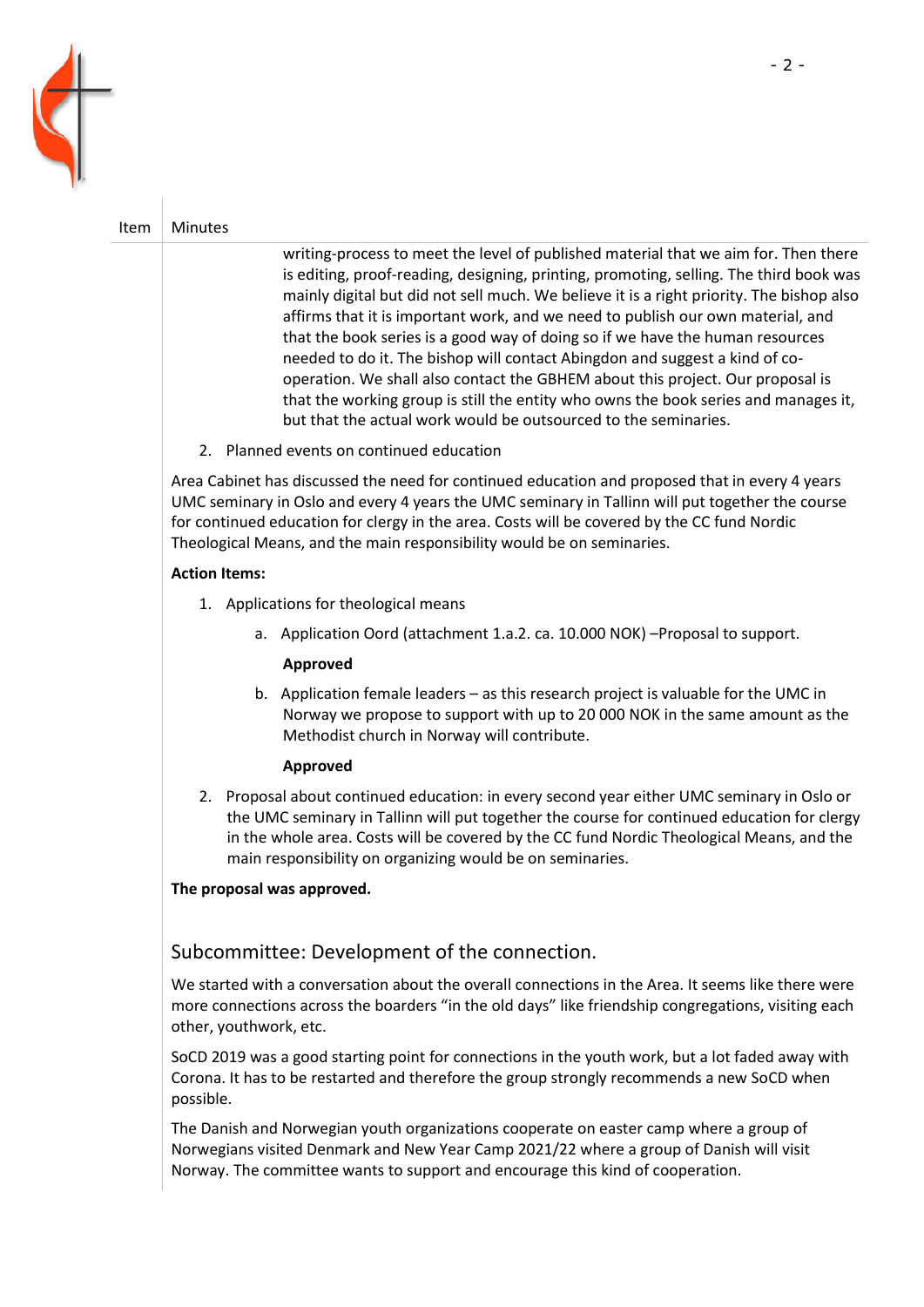

## Item  $\vert$  Minutes

writing-process to meet the level of published material that we aim for. Then there is editing, proof-reading, designing, printing, promoting, selling. The third book was mainly digital but did not sell much. We believe it is a right priority. The bishop also affirms that it is important work, and we need to publish our own material, and that the book series is a good way of doing so if we have the human resources needed to do it. The bishop will contact Abingdon and suggest a kind of cooperation. We shall also contact the GBHEM about this project. Our proposal is that the working group is still the entity who owns the book series and manages it, but that the actual work would be outsourced to the seminaries.

2. Planned events on continued education

Area Cabinet has discussed the need for continued education and proposed that in every 4 years UMC seminary in Oslo and every 4 years the UMC seminary in Tallinn will put together the course for continued education for clergy in the area. Costs will be covered by the CC fund Nordic Theological Means, and the main responsibility would be on seminaries.

## **Action Items:**

- 1. Applications for theological means
	- a. Application Oord (attachment 1.a.2. ca. 10.000 NOK) –Proposal to support.

#### **Approved**

b. Application female leaders – as this research project is valuable for the UMC in Norway we propose to support with up to 20 000 NOK in the same amount as the Methodist church in Norway will contribute.

#### **Approved**

2. Proposal about continued education: in every second year either UMC seminary in Oslo or the UMC seminary in Tallinn will put together the course for continued education for clergy in the whole area. Costs will be covered by the CC fund Nordic Theological Means, and the main responsibility on organizing would be on seminaries.

#### **The proposal was approved.**

## Subcommittee: Development of the connection.

We started with a conversation about the overall connections in the Area. It seems like there were more connections across the boarders "in the old days" like friendship congregations, visiting each other, youthwork, etc.

SoCD 2019 was a good starting point for connections in the youth work, but a lot faded away with Corona. It has to be restarted and therefore the group strongly recommends a new SoCD when possible.

The Danish and Norwegian youth organizations cooperate on easter camp where a group of Norwegians visited Denmark and New Year Camp 2021/22 where a group of Danish will visit Norway. The committee wants to support and encourage this kind of cooperation.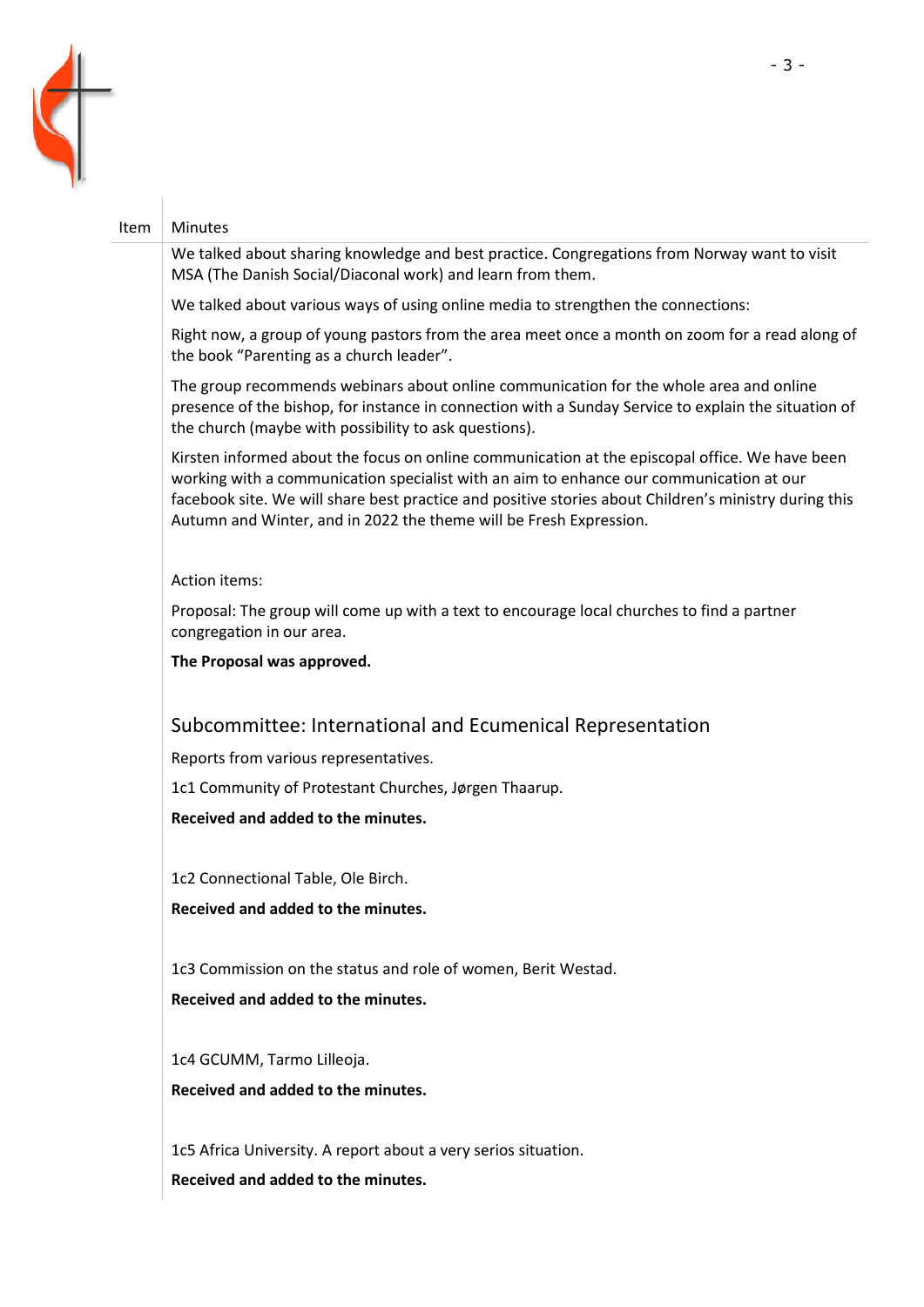

#### Item | Minutes

We talked about sharing knowledge and best practice. Congregations from Norway want to visit MSA (The Danish Social/Diaconal work) and learn from them.

We talked about various ways of using online media to strengthen the connections:

Right now, a group of young pastors from the area meet once a month on zoom for a read along of the book "Parenting as a church leader".

The group recommends webinars about online communication for the whole area and online presence of the bishop, for instance in connection with a Sunday Service to explain the situation of the church (maybe with possibility to ask questions).

Kirsten informed about the focus on online communication at the episcopal office. We have been working with a communication specialist with an aim to enhance our communication at our facebook site. We will share best practice and positive stories about Children's ministry during this Autumn and Winter, and in 2022 the theme will be Fresh Expression.

#### Action items:

Proposal: The group will come up with a text to encourage local churches to find a partner congregation in our area.

**The Proposal was approved.**

## Subcommittee: International and Ecumenical Representation

Reports from various representatives.

1c1 Community of Protestant Churches, Jørgen Thaarup.

**Received and added to the minutes.**

1c2 Connectional Table, Ole Birch.

**Received and added to the minutes.**

1c3 Commission on the status and role of women, Berit Westad.

**Received and added to the minutes.**

1c4 GCUMM, Tarmo Lilleoja. **Received and added to the minutes.**

1c5 Africa University. A report about a very serios situation. **Received and added to the minutes.**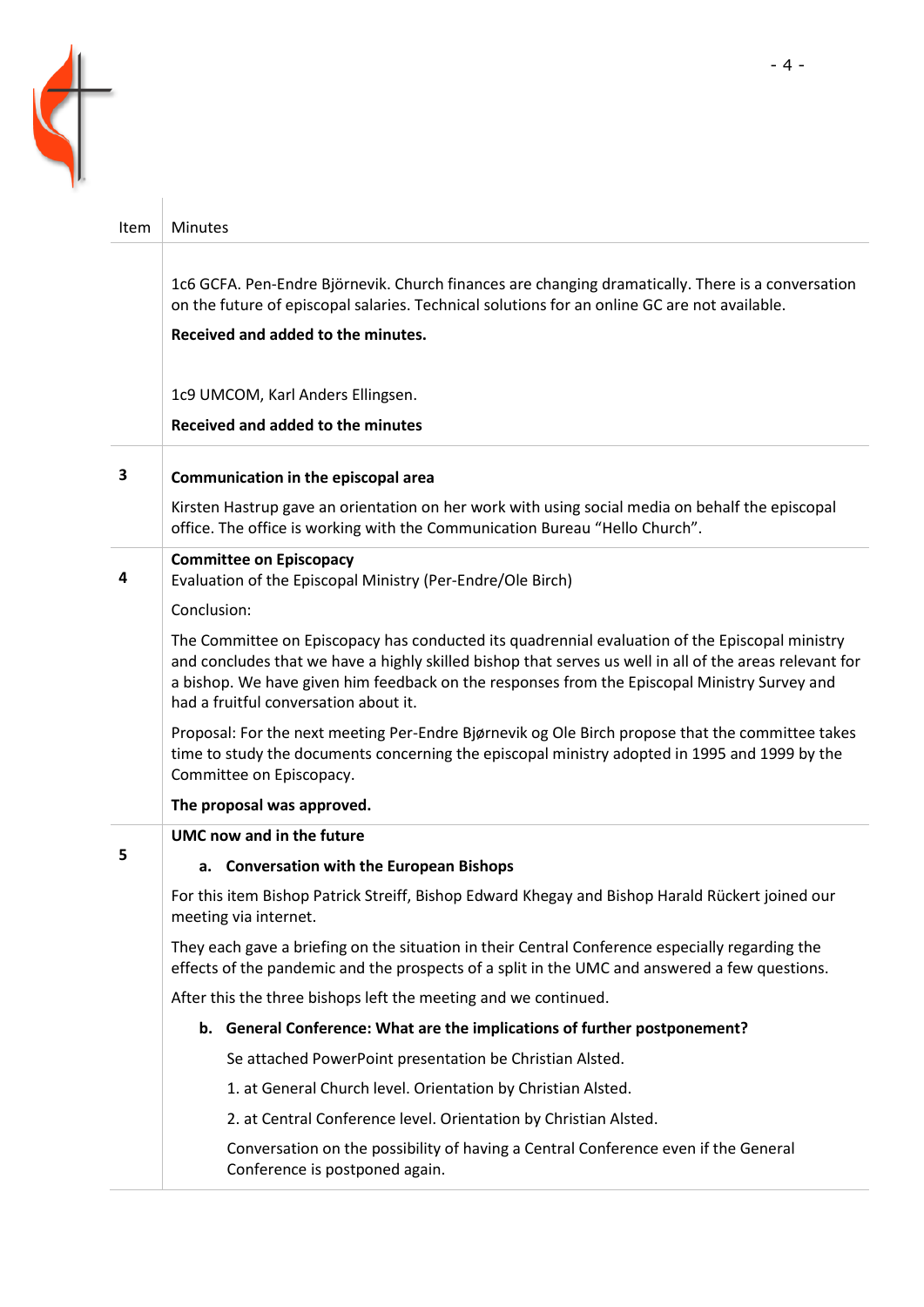

| Item | <b>Minutes</b>                                                                                                                                                                                                                                                                                                                                     |
|------|----------------------------------------------------------------------------------------------------------------------------------------------------------------------------------------------------------------------------------------------------------------------------------------------------------------------------------------------------|
|      | 1c6 GCFA. Pen-Endre Björnevik. Church finances are changing dramatically. There is a conversation<br>on the future of episcopal salaries. Technical solutions for an online GC are not available.<br>Received and added to the minutes.                                                                                                            |
|      | 1c9 UMCOM, Karl Anders Ellingsen.                                                                                                                                                                                                                                                                                                                  |
|      | Received and added to the minutes                                                                                                                                                                                                                                                                                                                  |
| 3    | Communication in the episcopal area                                                                                                                                                                                                                                                                                                                |
|      | Kirsten Hastrup gave an orientation on her work with using social media on behalf the episcopal<br>office. The office is working with the Communication Bureau "Hello Church".                                                                                                                                                                     |
| 4    | <b>Committee on Episcopacy</b><br>Evaluation of the Episcopal Ministry (Per-Endre/Ole Birch)                                                                                                                                                                                                                                                       |
|      | Conclusion:                                                                                                                                                                                                                                                                                                                                        |
|      | The Committee on Episcopacy has conducted its quadrennial evaluation of the Episcopal ministry<br>and concludes that we have a highly skilled bishop that serves us well in all of the areas relevant for<br>a bishop. We have given him feedback on the responses from the Episcopal Ministry Survey and<br>had a fruitful conversation about it. |
|      | Proposal: For the next meeting Per-Endre Bjørnevik og Ole Birch propose that the committee takes<br>time to study the documents concerning the episcopal ministry adopted in 1995 and 1999 by the<br>Committee on Episcopacy.                                                                                                                      |
|      | The proposal was approved.                                                                                                                                                                                                                                                                                                                         |
|      | UMC now and in the future                                                                                                                                                                                                                                                                                                                          |
| 5    | a. Conversation with the European Bishops                                                                                                                                                                                                                                                                                                          |
|      | For this item Bishop Patrick Streiff, Bishop Edward Khegay and Bishop Harald Rückert joined our<br>meeting via internet.                                                                                                                                                                                                                           |
|      | They each gave a briefing on the situation in their Central Conference especially regarding the<br>effects of the pandemic and the prospects of a split in the UMC and answered a few questions.                                                                                                                                                   |
|      | After this the three bishops left the meeting and we continued.                                                                                                                                                                                                                                                                                    |
|      | b. General Conference: What are the implications of further postponement?                                                                                                                                                                                                                                                                          |
|      | Se attached PowerPoint presentation be Christian Alsted.                                                                                                                                                                                                                                                                                           |
|      | 1. at General Church level. Orientation by Christian Alsted.                                                                                                                                                                                                                                                                                       |
|      | 2. at Central Conference level. Orientation by Christian Alsted.                                                                                                                                                                                                                                                                                   |
|      | Conversation on the possibility of having a Central Conference even if the General<br>Conference is postponed again.                                                                                                                                                                                                                               |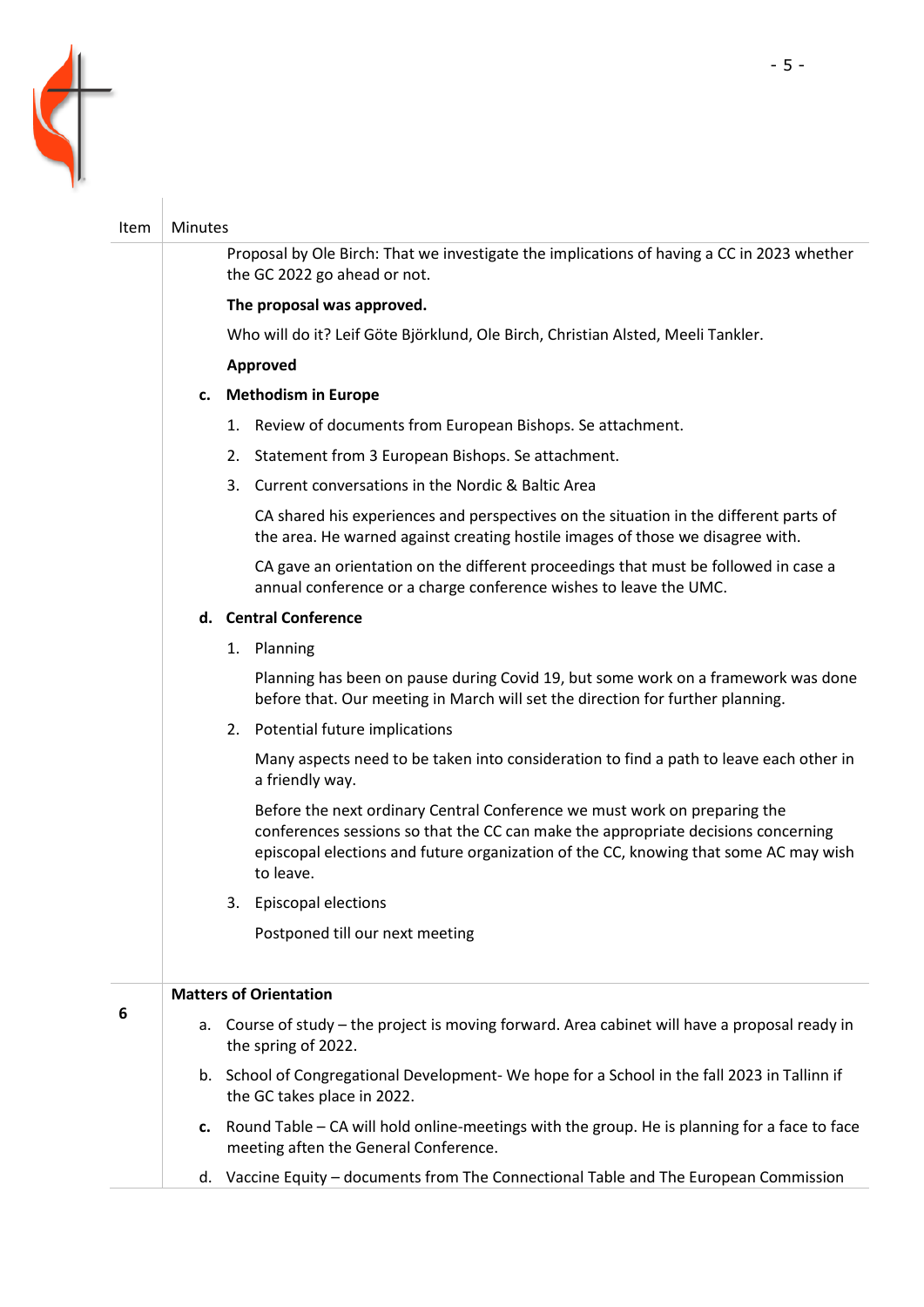

## Item  $\vert$  Minutes

Proposal by Ole Birch: That we investigate the implications of having a CC in 2023 whether the GC 2022 go ahead or not.

#### **The proposal was approved.**

Who will do it? Leif Göte Björklund, Ole Birch, Christian Alsted, Meeli Tankler.

## **Approved**

## **c. Methodism in Europe**

- 1. Review of documents from European Bishops. Se attachment.
- 2. Statement from 3 European Bishops. Se attachment.
- 3. Current conversations in the Nordic & Baltic Area

CA shared his experiences and perspectives on the situation in the different parts of the area. He warned against creating hostile images of those we disagree with.

CA gave an orientation on the different proceedings that must be followed in case a annual conference or a charge conference wishes to leave the UMC.

## **d. Central Conference**

1. Planning

Planning has been on pause during Covid 19, but some work on a framework was done before that. Our meeting in March will set the direction for further planning.

2. Potential future implications

Many aspects need to be taken into consideration to find a path to leave each other in a friendly way.

Before the next ordinary Central Conference we must work on preparing the conferences sessions so that the CC can make the appropriate decisions concerning episcopal elections and future organization of the CC, knowing that some AC may wish to leave.

3. Episcopal elections

Postponed till our next meeting

## **Matters of Orientation**

| 6 | а. | Course of study - the project is moving forward. Area cabinet will have a proposal ready in<br>the spring of 2022.                       |
|---|----|------------------------------------------------------------------------------------------------------------------------------------------|
|   |    | b. School of Congregational Development-We hope for a School in the fall 2023 in Tallinn if<br>the GC takes place in 2022.               |
|   |    | c. Round Table – CA will hold online-meetings with the group. He is planning for a face to face<br>meeting aften the General Conference. |

d. Vaccine Equity – documents from The Connectional Table and The European Commission